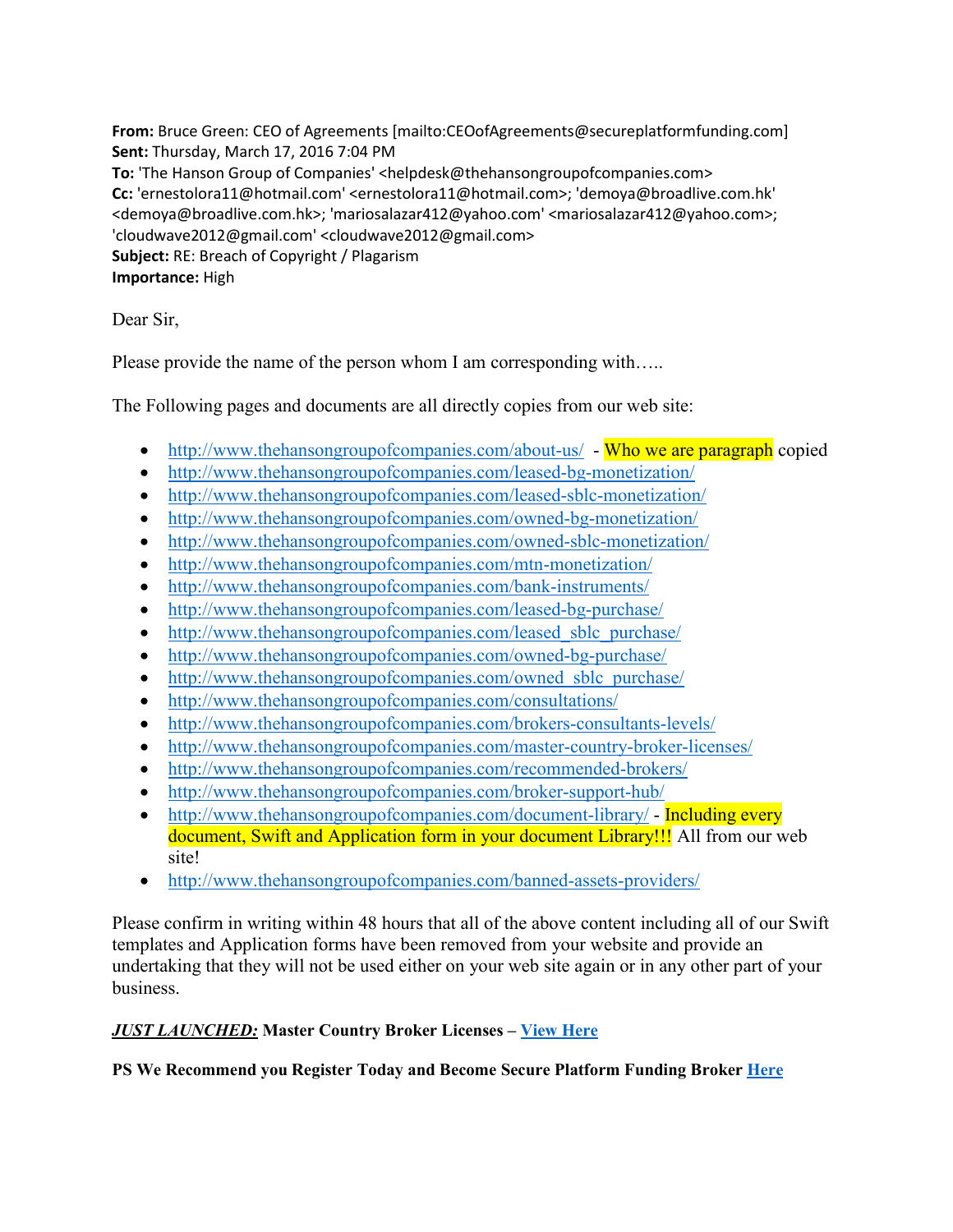**From:** Bruce Green: CEO of Agreements [mailto:CEOofAgreements@secureplatformfunding.com] **Sent:** Thursday, March 17, 2016 7:04 PM **To:** 'The Hanson Group of Companies' <helpdesk@thehansongroupofcompanies.com> **Cc:** 'ernestolora11@hotmail.com' <ernestolora11@hotmail.com>; 'demoya@broadlive.com.hk' <demoya@broadlive.com.hk>; 'mariosalazar412@yahoo.com' <mariosalazar412@yahoo.com>; 'cloudwave2012@gmail.com' <cloudwave2012@gmail.com> **Subject:** RE: Breach of Copyright / Plagarism **Importance:** High

Dear Sir,

Please provide the name of the person whom I am corresponding with…..

The Following pages and documents are all directly copies from our web site:

- http://www.thehansongroupofcompanies.com/about-us/ Who we are paragraph copied
- http://www.thehansongroupofcompanies.com/leased-bg-monetization/
- http://www.thehansongroupofcompanies.com/leased-sblc-monetization/
- http://www.thehansongroupofcompanies.com/owned-bg-monetization/
- http://www.thehansongroupofcompanies.com/owned-sblc-monetization/
- http://www.thehansongroupofcompanies.com/mtn-monetization/
- http://www.thehansongroupofcompanies.com/bank-instruments/
- http://www.thehansongroupofcompanies.com/leased-bg-purchase/
- http://www.thehansongroupofcompanies.com/leased sblc purchase/
- http://www.thehansongroupofcompanies.com/owned-bg-purchase/
- http://www.thehansongroupofcompanies.com/owned sblc purchase/
- http://www.thehansongroupofcompanies.com/consultations/
- http://www.thehansongroupofcompanies.com/brokers-consultants-levels/
- http://www.thehansongroupofcompanies.com/master-country-broker-licenses/
- http://www.thehansongroupofcompanies.com/recommended-brokers/
- http://www.thehansongroupofcompanies.com/broker-support-hub/
- http://www.thehansongroupofcompanies.com/document-library/ Including every document, Swift and Application form in your document Library!!! All from our web site!
- http://www.thehansongroupofcompanies.com/banned-assets-providers/

Please confirm in writing within 48 hours that all of the above content including all of our Swift templates and Application forms have been removed from your website and provide an undertaking that they will not be used either on your web site again or in any other part of your business.

## *JUST LAUNCHED:* **Master Country Broker Licenses – View Here**

**PS We Recommend you Register Today and Become Secure Platform Funding Broker Here**